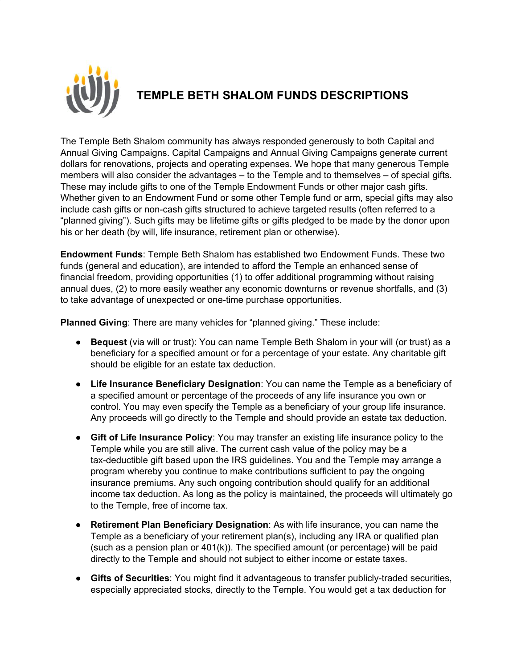

## **TEMPLE BETH SHALOM FUNDS DESCRIPTIONS**

The Temple Beth Shalom community has always responded generously to both Capital and Annual Giving Campaigns. Capital Campaigns and Annual Giving Campaigns generate current dollars for renovations, projects and operating expenses. We hope that many generous Temple members will also consider the advantages – to the Temple and to themselves – of special gifts. These may include gifts to one of the Temple Endowment Funds or other major cash gifts. Whether given to an Endowment Fund or some other Temple fund or arm, special gifts may also include cash gifts or non-cash gifts structured to achieve targeted results (often referred to a "planned giving"). Such gifts may be lifetime gifts or gifts pledged to be made by the donor upon his or her death (by will, life insurance, retirement plan or otherwise).

**Endowment Funds**: Temple Beth Shalom has established two Endowment Funds. These two funds (general and education), are intended to afford the Temple an enhanced sense of financial freedom, providing opportunities (1) to offer additional programming without raising annual dues, (2) to more easily weather any economic downturns or revenue shortfalls, and (3) to take advantage of unexpected or one-time purchase opportunities.

**Planned Giving**: There are many vehicles for "planned giving." These include:

- **Bequest** (via will or trust): You can name Temple Beth Shalom in your will (or trust) as a beneficiary for a specified amount or for a percentage of your estate. Any charitable gift should be eligible for an estate tax deduction.
- **Life Insurance Beneficiary Designation**: You can name the Temple as a beneficiary of a specified amount or percentage of the proceeds of any life insurance you own or control. You may even specify the Temple as a beneficiary of your group life insurance. Any proceeds will go directly to the Temple and should provide an estate tax deduction.
- **Gift of Life Insurance Policy**: You may transfer an existing life insurance policy to the Temple while you are still alive. The current cash value of the policy may be a tax-deductible gift based upon the IRS guidelines. You and the Temple may arrange a program whereby you continue to make contributions sufficient to pay the ongoing insurance premiums. Any such ongoing contribution should qualify for an additional income tax deduction. As long as the policy is maintained, the proceeds will ultimately go to the Temple, free of income tax.
- **Retirement Plan Beneficiary Designation**: As with life insurance, you can name the Temple as a beneficiary of your retirement plan(s), including any IRA or qualified plan (such as a pension plan or 401(k)). The specified amount (or percentage) will be paid directly to the Temple and should not subject to either income or estate taxes.
- **Gifts of Securities**: You might find it advantageous to transfer publicly-traded securities, especially appreciated stocks, directly to the Temple. You would get a tax deduction for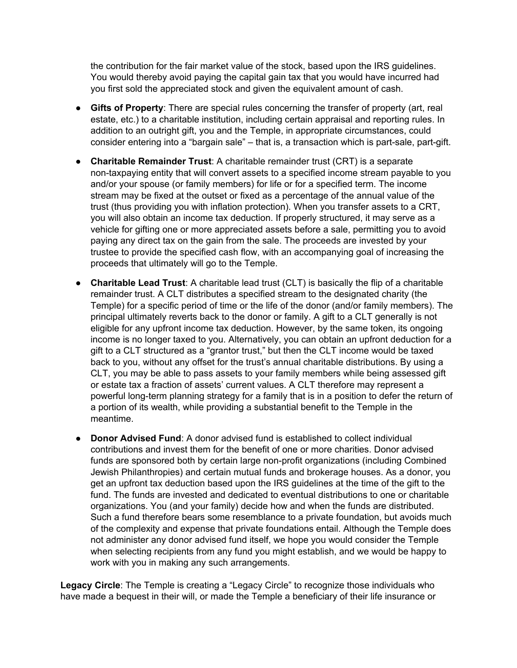the contribution for the fair market value of the stock, based upon the IRS guidelines. You would thereby avoid paying the capital gain tax that you would have incurred had you first sold the appreciated stock and given the equivalent amount of cash.

- **Gifts of Property**: There are special rules concerning the transfer of property (art, real estate, etc.) to a charitable institution, including certain appraisal and reporting rules. In addition to an outright gift, you and the Temple, in appropriate circumstances, could consider entering into a "bargain sale" – that is, a transaction which is part-sale, part-gift.
- **Charitable Remainder Trust**: A charitable remainder trust (CRT) is a separate non-taxpaying entity that will convert assets to a specified income stream payable to you and/or your spouse (or family members) for life or for a specified term. The income stream may be fixed at the outset or fixed as a percentage of the annual value of the trust (thus providing you with inflation protection). When you transfer assets to a CRT, you will also obtain an income tax deduction. If properly structured, it may serve as a vehicle for gifting one or more appreciated assets before a sale, permitting you to avoid paying any direct tax on the gain from the sale. The proceeds are invested by your trustee to provide the specified cash flow, with an accompanying goal of increasing the proceeds that ultimately will go to the Temple.
- **Charitable Lead Trust**: A charitable lead trust (CLT) is basically the flip of a charitable remainder trust. A CLT distributes a specified stream to the designated charity (the Temple) for a specific period of time or the life of the donor (and/or family members). The principal ultimately reverts back to the donor or family. A gift to a CLT generally is not eligible for any upfront income tax deduction. However, by the same token, its ongoing income is no longer taxed to you. Alternatively, you can obtain an upfront deduction for a gift to a CLT structured as a "grantor trust," but then the CLT income would be taxed back to you, without any offset for the trust's annual charitable distributions. By using a CLT, you may be able to pass assets to your family members while being assessed gift or estate tax a fraction of assets' current values. A CLT therefore may represent a powerful long-term planning strategy for a family that is in a position to defer the return of a portion of its wealth, while providing a substantial benefit to the Temple in the meantime.
- **Donor Advised Fund:** A donor advised fund is established to collect individual contributions and invest them for the benefit of one or more charities. Donor advised funds are sponsored both by certain large non-profit organizations (including Combined Jewish Philanthropies) and certain mutual funds and brokerage houses. As a donor, you get an upfront tax deduction based upon the IRS guidelines at the time of the gift to the fund. The funds are invested and dedicated to eventual distributions to one or charitable organizations. You (and your family) decide how and when the funds are distributed. Such a fund therefore bears some resemblance to a private foundation, but avoids much of the complexity and expense that private foundations entail. Although the Temple does not administer any donor advised fund itself, we hope you would consider the Temple when selecting recipients from any fund you might establish, and we would be happy to work with you in making any such arrangements.

**Legacy Circle**: The Temple is creating a "Legacy Circle" to recognize those individuals who have made a bequest in their will, or made the Temple a beneficiary of their life insurance or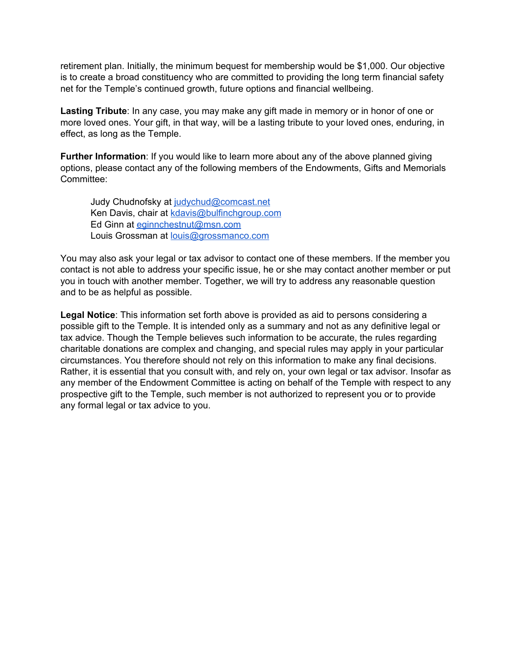retirement plan. Initially, the minimum bequest for membership would be \$1,000. Our objective is to create a broad constituency who are committed to providing the long term financial safety net for the Temple's continued growth, future options and financial wellbeing.

**Lasting Tribute**: In any case, you may make any gift made in memory or in honor of one or more loved ones. Your gift, in that way, will be a lasting tribute to your loved ones, enduring, in effect, as long as the Temple.

**Further Information**: If you would like to learn more about any of the above planned giving options, please contact any of the following members of the Endowments, Gifts and Memorials Committee:

Judy Chudnofsky at [judychud@comcast.net](mailto:judychud@comcast.net) Ken Davis, chair at [kdavis@bulfinchgroup.com](mailto:kdavis@bulfinchgroup.com) Ed Ginn at [eginnchestnut@msn.com](mailto:eginnchestnut@msn.com) Louis Grossman at [louis@grossmanco.com](mailto:louis@grossmanco.com)

You may also ask your legal or tax advisor to contact one of these members. If the member you contact is not able to address your specific issue, he or she may contact another member or put you in touch with another member. Together, we will try to address any reasonable question and to be as helpful as possible.

**Legal Notice**: This information set forth above is provided as aid to persons considering a possible gift to the Temple. It is intended only as a summary and not as any definitive legal or tax advice. Though the Temple believes such information to be accurate, the rules regarding charitable donations are complex and changing, and special rules may apply in your particular circumstances. You therefore should not rely on this information to make any final decisions. Rather, it is essential that you consult with, and rely on, your own legal or tax advisor. Insofar as any member of the Endowment Committee is acting on behalf of the Temple with respect to any prospective gift to the Temple, such member is not authorized to represent you or to provide any formal legal or tax advice to you.